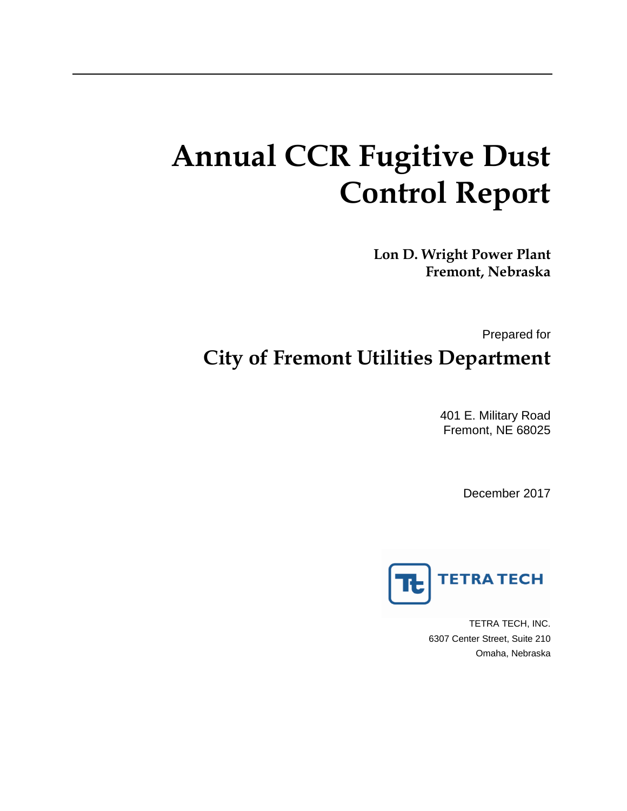# **Annual CCR Fugitive Dust Control Report**

**Lon D. Wright Power Plant Fremont, Nebraska**

Prepared for **City of Fremont Utilities Department**

> 401 E. Military Road Fremont, NE 68025

> > December 2017



TETRA TECH, INC. 6307 Center Street, Suite 210 Omaha, Nebraska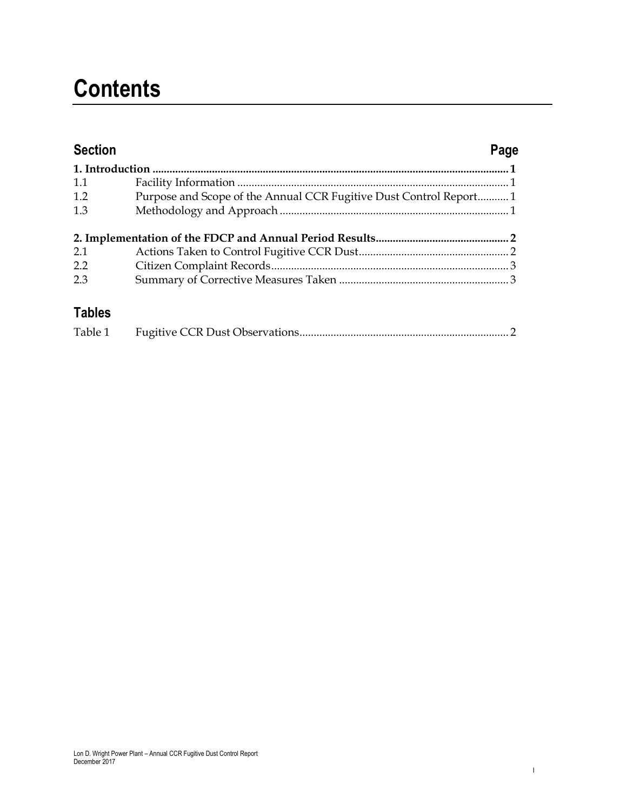## **Contents**

| <b>Section</b> |                                                                   | Page |
|----------------|-------------------------------------------------------------------|------|
|                |                                                                   |      |
| 1.1            |                                                                   |      |
| 1.2            | Purpose and Scope of the Annual CCR Fugitive Dust Control Report1 |      |
| 1.3            |                                                                   |      |
|                |                                                                   |      |
| 2.1            |                                                                   |      |
| 2.2            |                                                                   |      |
| 2.3            |                                                                   |      |
| <b>Tables</b>  |                                                                   |      |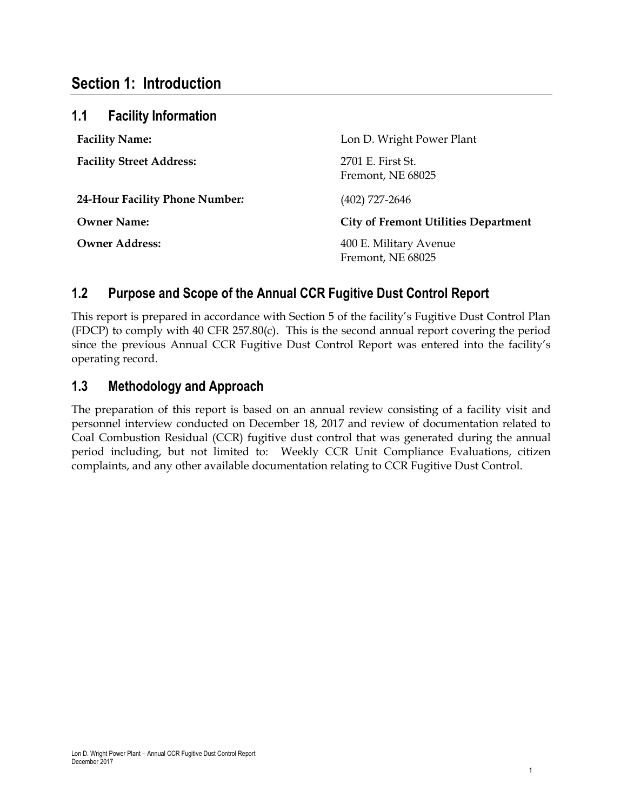#### **Section 1: Introduction**

| 1.1<br><b>Facility Information</b> |                                             |
|------------------------------------|---------------------------------------------|
| <b>Facility Name:</b>              | Lon D. Wright Power Plant                   |
| <b>Facility Street Address:</b>    | 2701 E. First St.<br>Fremont, NE 68025      |
| 24-Hour Facility Phone Number:     | $(402)$ 727-2646                            |
| <b>Owner Name:</b>                 | <b>City of Fremont Utilities Department</b> |
| <b>Owner Address:</b>              | 400 E. Military Avenue<br>Fremont, NE 68025 |

#### **1.2 Purpose and Scope of the Annual CCR Fugitive Dust Control Report**

This report is prepared in accordance with Section 5 of the facility's Fugitive Dust Control Plan (FDCP) to comply with 40 CFR 257.80(c). This is the second annual report covering the period since the previous Annual CCR Fugitive Dust Control Report was entered into the facility's operating record.

#### **1.3 Methodology and Approach**

The preparation of this report is based on an annual review consisting of a facility visit and personnel interview conducted on December 18, 2017 and review of documentation related to Coal Combustion Residual (CCR) fugitive dust control that was generated during the annual period including, but not limited to: Weekly CCR Unit Compliance Evaluations, citizen complaints, and any other available documentation relating to CCR Fugitive Dust Control.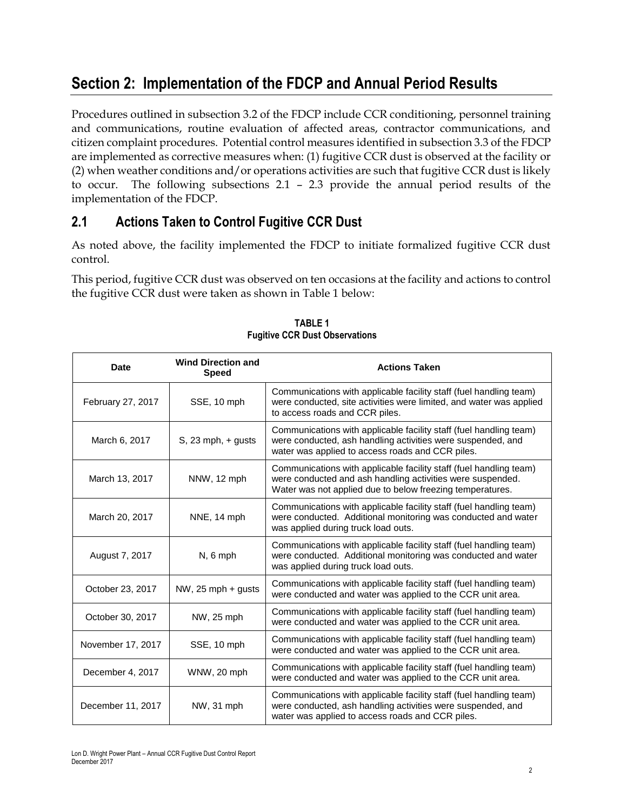### **Section 2: Implementation of the FDCP and Annual Period Results**

Procedures outlined in subsection 3.2 of the FDCP include CCR conditioning, personnel training and communications, routine evaluation of affected areas, contractor communications, and citizen complaint procedures. Potential control measures identified in subsection 3.3 of the FDCP are implemented as corrective measures when: (1) fugitive CCR dust is observed at the facility or (2) when weather conditions and/or operations activities are such that fugitive CCR dust is likely to occur. The following subsections 2.1 – 2.3 provide the annual period results of the implementation of the FDCP.

#### **2.1 Actions Taken to Control Fugitive CCR Dust**

As noted above, the facility implemented the FDCP to initiate formalized fugitive CCR dust control.

This period, fugitive CCR dust was observed on ten occasions at the facility and actions to control the fugitive CCR dust were taken as shown in Table 1 below:

| <b>Date</b>       | <b>Wind Direction and</b><br><b>Speed</b> | <b>Actions Taken</b>                                                                                                                                                                          |
|-------------------|-------------------------------------------|-----------------------------------------------------------------------------------------------------------------------------------------------------------------------------------------------|
| February 27, 2017 | SSE, 10 mph                               | Communications with applicable facility staff (fuel handling team)<br>were conducted, site activities were limited, and water was applied<br>to access roads and CCR piles.                   |
| March 6, 2017     | $S$ , 23 mph, $+$ gusts                   | Communications with applicable facility staff (fuel handling team)<br>were conducted, ash handling activities were suspended, and<br>water was applied to access roads and CCR piles.         |
| March 13, 2017    | NNW, 12 mph                               | Communications with applicable facility staff (fuel handling team)<br>were conducted and ash handling activities were suspended.<br>Water was not applied due to below freezing temperatures. |
| March 20, 2017    | NNE, 14 mph                               | Communications with applicable facility staff (fuel handling team)<br>were conducted. Additional monitoring was conducted and water<br>was applied during truck load outs.                    |
| August 7, 2017    | $N, 6$ mph                                | Communications with applicable facility staff (fuel handling team)<br>were conducted. Additional monitoring was conducted and water<br>was applied during truck load outs.                    |
| October 23, 2017  | NW, 25 mph + gusts                        | Communications with applicable facility staff (fuel handling team)<br>were conducted and water was applied to the CCR unit area.                                                              |
| October 30, 2017  | NW, 25 mph                                | Communications with applicable facility staff (fuel handling team)<br>were conducted and water was applied to the CCR unit area.                                                              |
| November 17, 2017 | SSE, 10 mph                               | Communications with applicable facility staff (fuel handling team)<br>were conducted and water was applied to the CCR unit area.                                                              |
| December 4, 2017  | WNW, 20 mph                               | Communications with applicable facility staff (fuel handling team)<br>were conducted and water was applied to the CCR unit area.                                                              |
| December 11, 2017 | NW, 31 mph                                | Communications with applicable facility staff (fuel handling team)<br>were conducted, ash handling activities were suspended, and<br>water was applied to access roads and CCR piles.         |

**TABLE 1 Fugitive CCR Dust Observations**